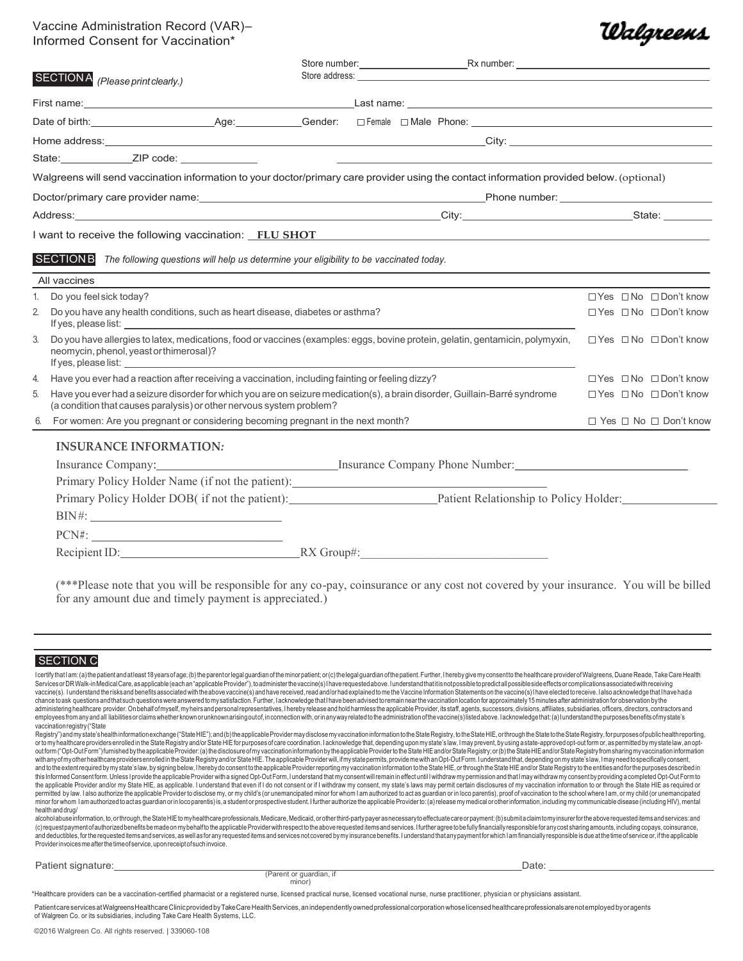## Vaccine Administration Record (VAR)– Informed Consent for Vaccination\*

|                | SECTION A (Please print clearly.)                                                                                                                                                                                                                                                                               |                                                                                                                                           |                                        |
|----------------|-----------------------------------------------------------------------------------------------------------------------------------------------------------------------------------------------------------------------------------------------------------------------------------------------------------------|-------------------------------------------------------------------------------------------------------------------------------------------|----------------------------------------|
|                |                                                                                                                                                                                                                                                                                                                 |                                                                                                                                           |                                        |
|                |                                                                                                                                                                                                                                                                                                                 |                                                                                                                                           |                                        |
|                |                                                                                                                                                                                                                                                                                                                 |                                                                                                                                           |                                        |
|                |                                                                                                                                                                                                                                                                                                                 | <u> 1989 - Johann Stoff, amerikansk politiker (d. 1989)</u>                                                                               |                                        |
|                |                                                                                                                                                                                                                                                                                                                 | Walgreens will send vaccination information to your doctor/primary care provider using the contact information provided below. (optional) |                                        |
|                |                                                                                                                                                                                                                                                                                                                 |                                                                                                                                           |                                        |
|                |                                                                                                                                                                                                                                                                                                                 |                                                                                                                                           |                                        |
|                | I want to receive the following vaccination: FLU SHOT                                                                                                                                                                                                                                                           |                                                                                                                                           |                                        |
|                | <b>SECTIONB</b><br>All vaccines                                                                                                                                                                                                                                                                                 | The following questions will help us determine your eligibility to be vaccinated today.                                                   |                                        |
|                | Do you feel sick today?                                                                                                                                                                                                                                                                                         |                                                                                                                                           | $\Box$ Yes $\Box$ No $\Box$ Don't know |
| $\overline{2}$ | Do you have any health conditions, such as heart disease, diabetes or asthma?<br>If yes, please list: The contract of the contract of the contract of the contract of the contract of the contract of the contract of the contract of the contract of the contract of the contract of the contract of the contr |                                                                                                                                           | $\Box$ Yes $\Box$ No $\Box$ Don't know |
| 3.             | neomycin, phenol, yeast or thimerosal)?                                                                                                                                                                                                                                                                         | Do you have allergies to latex, medications, food or vaccines (examples: eggs, bovine protein, gelatin, gentamicin, polymyxin,            | $\Box$ Yes $\Box$ No $\Box$ Don't know |
| 4.             | Have you ever had a reaction after receiving a vaccination, including fainting or feeling dizzy?                                                                                                                                                                                                                |                                                                                                                                           | $\Box$ Yes $\Box$ No $\Box$ Don't know |
| 5.             | (a condition that causes paralysis) or other nervous system problem?                                                                                                                                                                                                                                            | Have you ever had a seizure disorder for which you are on seizure medication(s), a brain disorder, Guillain-Barré syndrome                | $\Box$ Yes $\Box$ No $\Box$ Don't know |

### **INSURANCE INFORMATION***:*

| Insurance Company:                                                                |                       | Insurance Company Phone Number:        |  |
|-----------------------------------------------------------------------------------|-----------------------|----------------------------------------|--|
| Primary Policy Holder Name (if not the patient): ________________________________ |                       |                                        |  |
| Primary Policy Holder DOB(if not the patient):                                    |                       | Patient Relationship to Policy Holder: |  |
|                                                                                   |                       |                                        |  |
|                                                                                   |                       |                                        |  |
| Recipient ID:                                                                     | $\mathbb{R}X$ Group#: |                                        |  |

(\*\*\*Please note that you will be responsible for any co-pay, coinsurance or any cost not covered by your insurance. You will be billed for any amount due and timely payment is appreciated.)

### SECTION C

IcertifythatIam: (a) the patient and atleast 18 years ofage; (b) the parent or legal guardian of the minor patient; or (c) the legal guardian of the patient. Further, I hereby give my consent to the healthcare provider of Services or DR Walk-in Medical Care, as applicable (each an "applicable Provider"), to administer the vaccine(s) I have requested above. I understand that it is not possible to predictall possible side effects or complicat vaccine(s). I understand the risks and benefits associated with the above vaccine(s) and have received, read and/or had explained to me the Vaccine Information Statements on the vaccine(s) I have elected to receive. I also chance to ask questions and that such questions were answered to my satisfaction. Further, lacknowledge that I have been advised to remain near the vaccination location for approximately 15 minutes after administration for administering healthcare provider. On behalfof myself, my heirs and personal representatives, I hereby release and hold harmless the applicable Provider, its staff, agents, successors, divisions. affiliates, subsidiaries, employees from any and all liabilities or claims whether known or unknown arising out of, in connection with, or in any way related to the administration of the vaccine(s) listed above. I acknowledge that: (a) I understand vaccinationregistry("State

Registry") and my state's health information exchange ("State HIE"); and (b) the applicable Provider may disclose my vaccination information to the State Registry, to the State HIE, or through the State Registry, for purpo ortomy healthcare providers enrolled in the State Registry and/or State HIE for purposes of care coordination. I acknowledge that, depending upon my state's law, Imay prevent, by using a state-approved opt-out form or, as and to the extent required by my state's law, by signing below, I hereby do consent to the applicable Provider reporting my vaccination information to the State HIE, or through the State HIE and/or State Registry to the en this Informed Consentform. Unless Iprovide the applicable Provider with a signed Opt-Out Form, I understand that my consent will remain in effect until I withdraw my permission and that I may withdraw my consent by providi permitted by law. I also authorize the applicable Provider to disclose my, or my child's (or unemancipated minor for whom I am authorized to act as guardian or in loco parentis), proof of vaccination to the school where I minor for whom I am authorized to act as guardian or in loco parentis) is, a student or prospective student. I further authorize the applicable Provider to: (a) release my medical or other information, including my communi healthanddrug/

alcoholabuseinformation,to,orthrough,theStateHIEto myhealthcare professionals,Medicare,Medicaid,orotherthird-partypayeras necessarytoeffectuate care or payment: (b) submitaclaimtomyinsurerforthe above requested items and s (c) request payment of authorized benefits be made on my behalf to the apolicable Provider with respect to the above requested items and services. I further agree to be fully financially responsible for any cost sharing am and deductibles, for the requested items and services, as well as for any requested items and services not covered by my insurance benefits. I understand that any payment for which I am financially responsible is due at th

Patient signature: Date: Date: Date: Date: Date: Date: Date: Date: Date: Date: Date: Date: Date: Date: Date: D

(Parent or guardian, if minor)

<u> Walgreens</u>

\*Healthcare providers can be a vaccination-certified pharmacist or a registered nurse, licensed practical nurse, licensed vocational nurse, nurse practitioner, physician or physicians assistant.

Patientcare services at Walgreens Healthcare Clinic provided by TakeCare Health Services, an independently owned professional corporation whose licensed healthcare professionals are not employed by or agents of Walgreen Co. or its subsidiaries, including Take Care Health Systems, LLC.